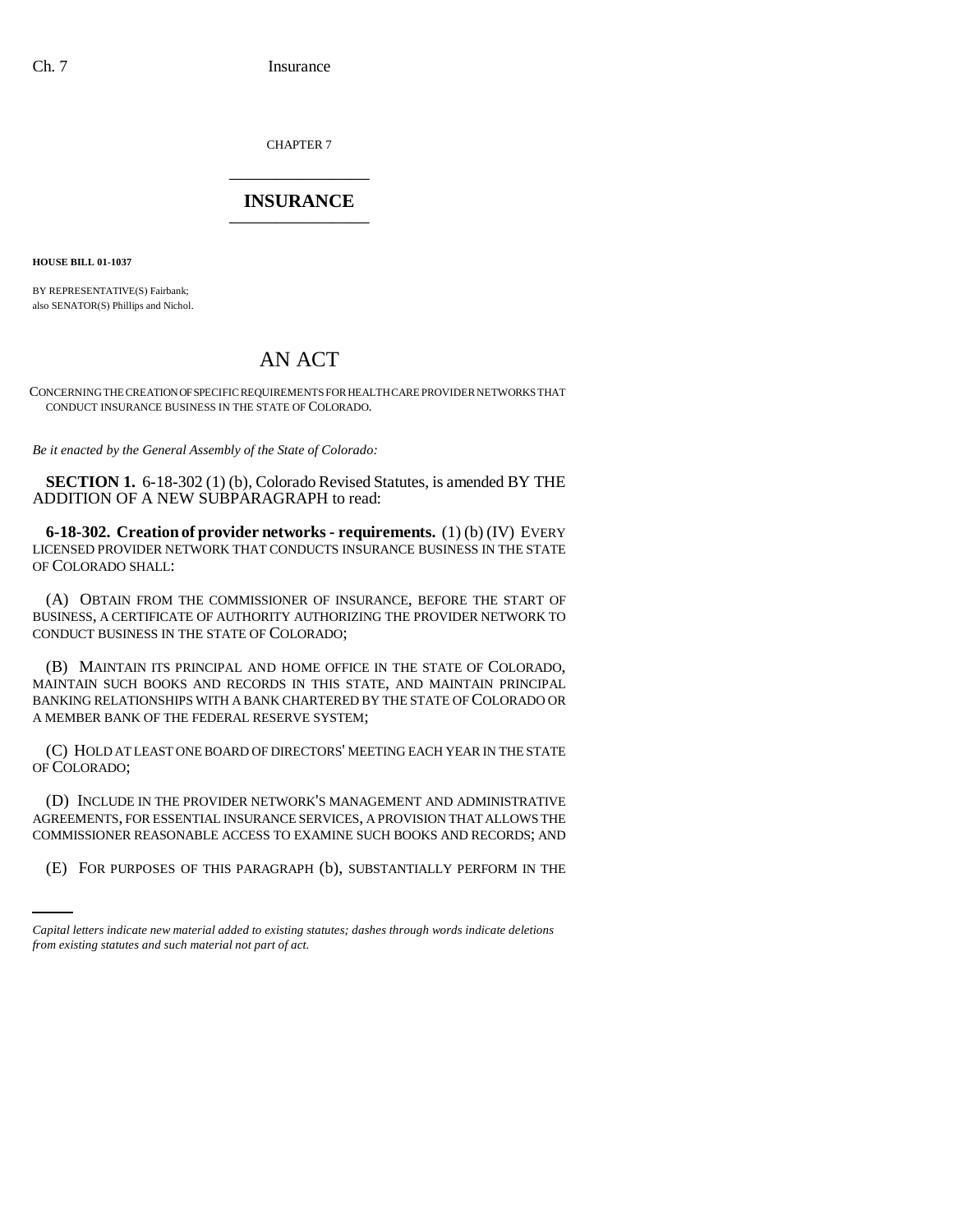CHAPTER 7 \_\_\_\_\_\_\_\_\_\_\_\_\_\_\_

## **INSURANCE** \_\_\_\_\_\_\_\_\_\_\_\_\_\_\_

**HOUSE BILL 01-1037**

BY REPRESENTATIVE(S) Fairbank; also SENATOR(S) Phillips and Nichol.

## AN ACT

CONCERNING THE CREATION OF SPECIFIC REQUIREMENTS FOR HEALTH CARE PROVIDER NETWORKS THAT CONDUCT INSURANCE BUSINESS IN THE STATE OF COLORADO.

*Be it enacted by the General Assembly of the State of Colorado:*

**SECTION 1.** 6-18-302 (1) (b), Colorado Revised Statutes, is amended BY THE ADDITION OF A NEW SUBPARAGRAPH to read:

**6-18-302. Creation of provider networks - requirements.** (1) (b) (IV) EVERY LICENSED PROVIDER NETWORK THAT CONDUCTS INSURANCE BUSINESS IN THE STATE OF COLORADO SHALL:

(A) OBTAIN FROM THE COMMISSIONER OF INSURANCE, BEFORE THE START OF BUSINESS, A CERTIFICATE OF AUTHORITY AUTHORIZING THE PROVIDER NETWORK TO CONDUCT BUSINESS IN THE STATE OF COLORADO;

(B) MAINTAIN ITS PRINCIPAL AND HOME OFFICE IN THE STATE OF COLORADO, MAINTAIN SUCH BOOKS AND RECORDS IN THIS STATE, AND MAINTAIN PRINCIPAL BANKING RELATIONSHIPS WITH A BANK CHARTERED BY THE STATE OF COLORADO OR A MEMBER BANK OF THE FEDERAL RESERVE SYSTEM;

(C) HOLD AT LEAST ONE BOARD OF DIRECTORS' MEETING EACH YEAR IN THE STATE OF COLORADO;

COMMISSIONER REASONABLE ACCESS TO EXAMINE SUCH BOOKS AND RECORDS; AND (D) INCLUDE IN THE PROVIDER NETWORK'S MANAGEMENT AND ADMINISTRATIVE AGREEMENTS, FOR ESSENTIAL INSURANCE SERVICES, A PROVISION THAT ALLOWS THE

(E) FOR PURPOSES OF THIS PARAGRAPH (b), SUBSTANTIALLY PERFORM IN THE

*Capital letters indicate new material added to existing statutes; dashes through words indicate deletions from existing statutes and such material not part of act.*